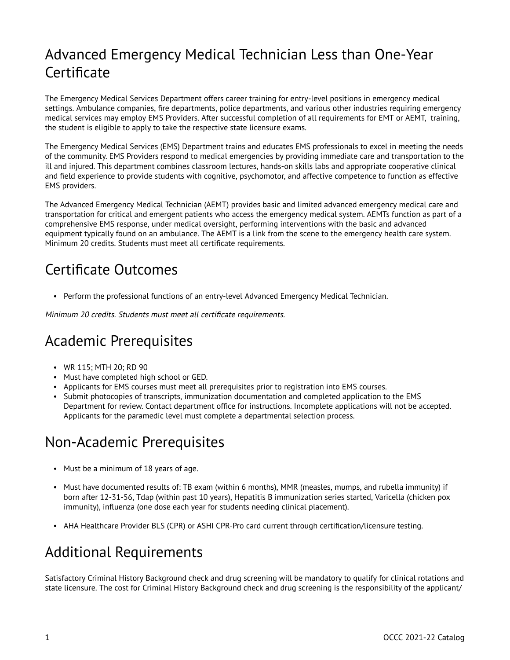# Advanced Emergency Medical Technician Less than One-Year **Certificate**

The Emergency Medical Services Department offers career training for entry-level positions in emergency medical settings. Ambulance companies, fire departments, police departments, and various other industries requiring emergency medical services may employ EMS Providers. After successful completion of all requirements for EMT or AEMT, training, the student is eligible to apply to take the respective state licensure exams.

The Emergency Medical Services (EMS) Department trains and educates EMS professionals to excel in meeting the needs of the community. EMS Providers respond to medical emergencies by providing immediate care and transportation to the ill and injured. This department combines classroom lectures, hands-on skills labs and appropriate cooperative clinical and field experience to provide students with cognitive, psychomotor, and affective competence to function as effective EMS providers.

The Advanced Emergency Medical Technician (AEMT) provides basic and limited advanced emergency medical care and transportation for critical and emergent patients who access the emergency medical system. AEMTs function as part of a comprehensive EMS response, under medical oversight, performing interventions with the basic and advanced equipment typically found on an ambulance. The AEMT is a link from the scene to the emergency health care system. Minimum 20 credits. Students must meet all certificate requirements.

## Certificate Outcomes

• Perform the professional functions of an entry-level Advanced Emergency Medical Technician.

Minimum 20 credits. Students must meet all certificate requirements.

## Academic Prerequisites

- WR 115; MTH 20; RD 90
- Must have completed high school or GED.
- Applicants for EMS courses must meet all prerequisites prior to registration into EMS courses.
- Submit photocopies of transcripts, immunization documentation and completed application to the EMS Department for review. Contact department office for instructions. Incomplete applications will not be accepted. Applicants for the paramedic level must complete a departmental selection process.

## Non-Academic Prerequisites

- Must be a minimum of 18 years of age.
- Must have documented results of: TB exam (within 6 months), MMR (measles, mumps, and rubella immunity) if born after 12-31-56, Tdap (within past 10 years), Hepatitis B immunization series started, Varicella (chicken pox immunity), influenza (one dose each year for students needing clinical placement).
- AHA Healthcare Provider BLS (CPR) or ASHI CPR-Pro card current through certification/licensure testing.

# Additional Requirements

Satisfactory Criminal History Background check and drug screening will be mandatory to qualify for clinical rotations and state licensure. The cost for Criminal History Background check and drug screening is the responsibility of the applicant/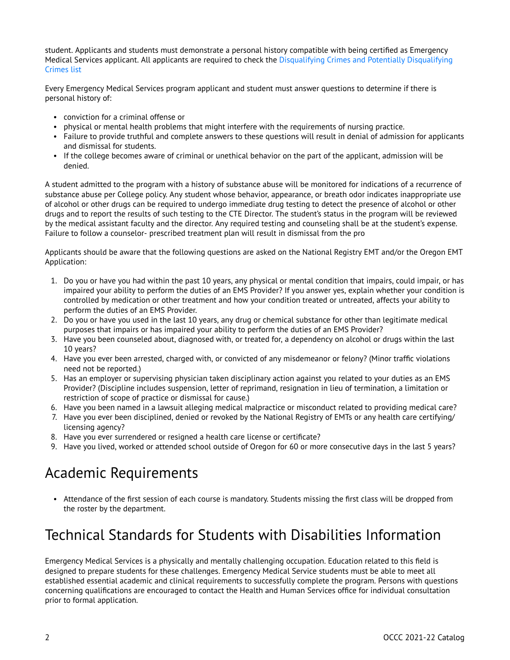student. Applicants and students must demonstrate a personal history compatible with being certified as Emergency Medical Services applicant. All applicants are required to check the [Disqualifying Crimes and Potentially Disqualifying](https://secure.sos.state.or.us/oard/displayChapterRules.action?selectedChapter=185)  [Crimes list](https://secure.sos.state.or.us/oard/displayChapterRules.action?selectedChapter=185) 

Every Emergency Medical Services program applicant and student must answer questions to determine if there is personal history of:

- conviction for a criminal offense or
- physical or mental health problems that might interfere with the requirements of nursing practice.
- Failure to provide truthful and complete answers to these questions will result in denial of admission for applicants and dismissal for students.
- If the college becomes aware of criminal or unethical behavior on the part of the applicant, admission will be denied.

A student admitted to the program with a history of substance abuse will be monitored for indications of a recurrence of substance abuse per College policy. Any student whose behavior, appearance, or breath odor indicates inappropriate use of alcohol or other drugs can be required to undergo immediate drug testing to detect the presence of alcohol or other drugs and to report the results of such testing to the CTE Director. The student's status in the program will be reviewed by the medical assistant faculty and the director. Any required testing and counseling shall be at the student's expense. Failure to follow a counselor- prescribed treatment plan will result in dismissal from the pro

Applicants should be aware that the following questions are asked on the National Registry EMT and/or the Oregon EMT Application:

- 1. Do you or have you had within the past 10 years, any physical or mental condition that impairs, could impair, or has impaired your ability to perform the duties of an EMS Provider? If you answer yes, explain whether your condition is controlled by medication or other treatment and how your condition treated or untreated, affects your ability to perform the duties of an EMS Provider.
- 2. Do you or have you used in the last 10 years, any drug or chemical substance for other than legitimate medical purposes that impairs or has impaired your ability to perform the duties of an EMS Provider?
- 3. Have you been counseled about, diagnosed with, or treated for, a dependency on alcohol or drugs within the last 10 years?
- 4. Have you ever been arrested, charged with, or convicted of any misdemeanor or felony? (Minor traffic violations need not be reported.)
- 5. Has an employer or supervising physician taken disciplinary action against you related to your duties as an EMS Provider? (Discipline includes suspension, letter of reprimand, resignation in lieu of termination, a limitation or restriction of scope of practice or dismissal for cause.)
- 6. Have you been named in a lawsuit alleging medical malpractice or misconduct related to providing medical care?
- 7. Have you ever been disciplined, denied or revoked by the National Registry of EMTs or any health care certifying/ licensing agency?
- 8. Have you ever surrendered or resigned a health care license or certificate?
- 9. Have you lived, worked or attended school outside of Oregon for 60 or more consecutive days in the last 5 years?

## Academic Requirements

• Attendance of the first session of each course is mandatory. Students missing the first class will be dropped from the roster by the department.

## Technical Standards for Students with Disabilities Information

Emergency Medical Services is a physically and mentally challenging occupation. Education related to this field is designed to prepare students for these challenges. Emergency Medical Service students must be able to meet all established essential academic and clinical requirements to successfully complete the program. Persons with questions concerning qualifications are encouraged to contact the Health and Human Services office for individual consultation prior to formal application.